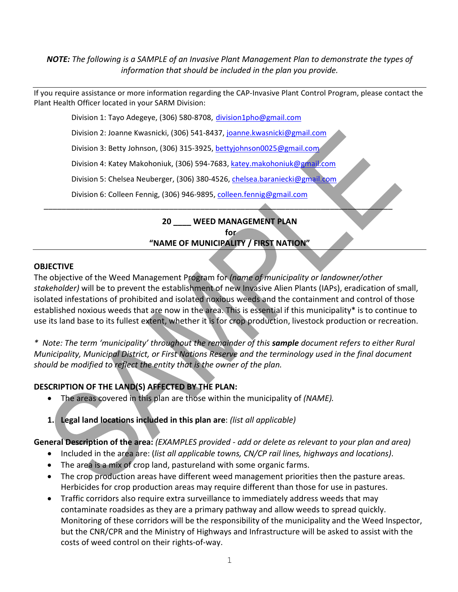*NOTE: The following is a SAMPLE of an Invasive Plant Management Plan to demonstrate the types of information that should be included in the plan you provide.* 

If you require assistance or more information regarding the CAP-Invasive Plant Control Program, please contact the Plant Health Officer located in your SARM Division:

Division 1: Tayo Adegeye, (306) 580-8708, [division1pho@gmail.com](mailto:division1pho@gmail.com)

Division 2: Joanne Kwasnicki, (306) 541-8437, [joanne.kwasnicki@gmail.com](mailto:joanne.kwasnicki@gmail.com)

Division 3: Betty Johnson, (306) 315-3925, [bettyjohnson0025@gmail.com](mailto:bettyjohnson0025@gmail.com)

Division 4: Katey Makohoniuk, (306) 594-7683, [katey.makohoniuk@gmail.com](mailto:katey.makohoniuk@gmail.com)

Division 5: Chelsea Neuberger, (306) 380-4526, [chelsea.baraniecki@gmail.com](mailto:chelsea.baraniecki@gmail.com)

Division 6: Colleen Fennig, (306) 946-9895, [colleen.fennig@gmail.com](mailto:colleen.fennig@gmail.com)

**20 \_\_\_\_ WEED MANAGEMENT PLAN** 

*\_\_\_\_\_\_\_\_\_\_\_\_\_\_\_\_\_\_\_\_\_\_\_\_\_\_\_\_\_\_\_\_\_\_\_\_\_\_\_\_\_\_\_\_\_\_\_\_\_\_\_\_\_\_\_\_\_\_\_\_\_\_\_\_\_\_\_\_\_\_\_\_\_\_\_\_\_\_*

**for**

**"NAME OF MUNICIPALITY / FIRST NATION"**

#### **OBJECTIVE**

The objective of the Weed Management Program for *(name of municipality or landowner/other stakeholder)* will be to prevent the establishment of new Invasive Alien Plants (IAPs), eradication of small, isolated infestations of prohibited and isolated noxious weeds and the containment and control of those established noxious weeds that are now in the area. This is essential if this municipality\* is to continue to use its land base to its fullest extent, whether it is for crop production, livestock production or recreation.

*\* Note: The term 'municipality' throughout the remainder of this sample document refers to either Rural Municipality, Municipal District, or First Nations Reserve and the terminology used in the final document should be modified to reflect the entity that is the owner of the plan.*

## **DESCRIPTION OF THE LAND(S) AFFECTED BY THE PLAN:**

- The areas covered in this plan are those within the municipality of *(NAME).*
- **1. Legal land locations included in this plan are**: *(list all applicable)*

# **General Description of the area:** *(EXAMPLES provided - add or delete as relevant to your plan and area)*

- Included in the area are: (*list all applicable towns, CN/CP rail lines, highways and locations)*.
- The area is a mix of crop land, pastureland with some organic farms.
- The crop production areas have different weed management priorities then the pasture areas. Herbicides for crop production areas may require different than those for use in pastures.
- Traffic corridors also require extra surveillance to immediately address weeds that may contaminate roadsides as they are a primary pathway and allow weeds to spread quickly. Monitoring of these corridors will be the responsibility of the municipality and the Weed Inspector, but the CNR/CPR and the Ministry of Highways and Infrastructure will be asked to assist with the costs of weed control on their rights-of-way.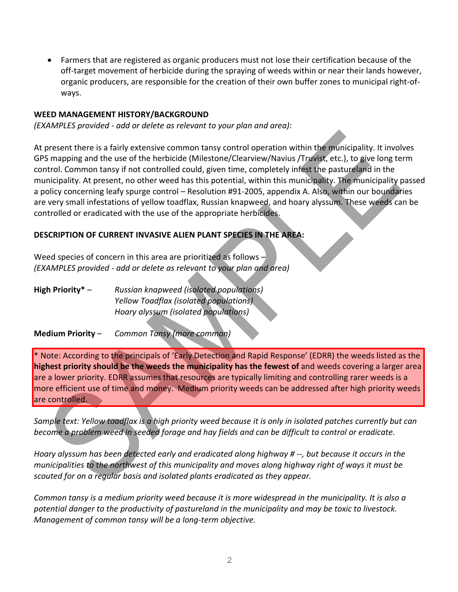• Farmers that are registered as organic producers must not lose their certification because of the off-target movement of herbicide during the spraying of weeds within or near their lands however, organic producers, are responsible for the creation of their own buffer zones to municipal right-ofways.

#### **WEED MANAGEMENT HISTORY/BACKGROUND**

*(EXAMPLES provided - add or delete as relevant to your plan and area):*

At present there is a fairly extensive common tansy control operation within the municipality. It involves GPS mapping and the use of the herbicide (Milestone/Clearview/Navius /Truvist, etc.), to give long term control. Common tansy if not controlled could, given time, completely infest the pastureland in the municipality. At present, no other weed has this potential, within this municipality. The municipality passed a policy concerning leafy spurge control – Resolution #91-2005, appendix A. Also, within our boundaries are very small infestations of yellow toadflax, Russian knapweed, and hoary alyssum. These weeds can be controlled or eradicated with the use of the appropriate herbicides.

#### **DESCRIPTION OF CURRENT INVASIVE ALIEN PLANT SPECIES IN THE AREA:**

Weed species of concern in this area are prioritized as follows – *(EXAMPLES provided - add or delete as relevant to your plan and area)*

**High Priority\*** – *Russian knapweed (isolated populations) Yellow Toadflax (isolated populations) Hoary alyssum (isolated populations)*

**Medium Priority** – *Common Tansy (more common)*

\* Note: According to the principals of 'Early Detection and Rapid Response' (EDRR) the weeds listed as the **highest priority should be the weeds the municipality has the fewest of** and weeds covering a larger area are a lower priority. EDRR assumes that resources are typically limiting and controlling rarer weeds is a more efficient use of time and money. Medium priority weeds can be addressed after high priority weeds are controlled.

*Sample text: Yellow toadflax is a high priority weed because it is only in isolated patches currently but can become a problem weed in seeded forage and hay fields and can be difficult to control or eradicate.*

*Hoary alyssum has been detected early and eradicated along highway # --, but because it occurs in the municipalities to the northwest of this municipality and moves along highway right of ways it must be scouted for on a regular basis and isolated plants eradicated as they appear.*

*Common tansy is a medium priority weed because it is more widespread in the municipality. It is also a potential danger to the productivity of pastureland in the municipality and may be toxic to livestock. Management of common tansy will be a long-term objective.*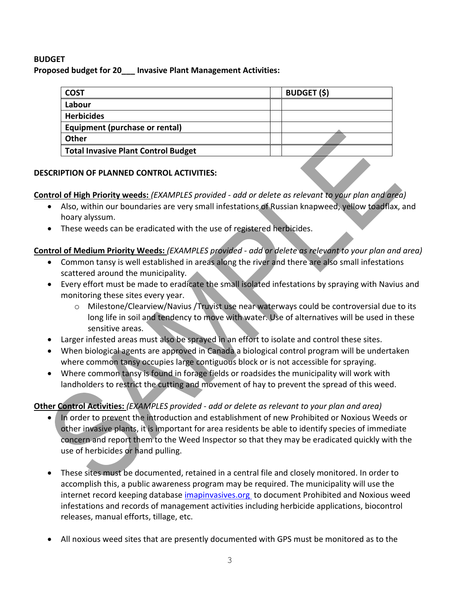### **BUDGET**

**Proposed budget for 20\_\_\_ Invasive Plant Management Activities:**

| <b>COST</b>                                | <b>BUDGET (\$)</b> |
|--------------------------------------------|--------------------|
| Labour                                     |                    |
| <b>Herbicides</b>                          |                    |
| Equipment (purchase or rental)             |                    |
| <b>Other</b>                               |                    |
| <b>Total Invasive Plant Control Budget</b> |                    |

#### **DESCRIPTION OF PLANNED CONTROL ACTIVITIES:**

#### **Control of High Priority weeds:** *(EXAMPLES provided - add or delete as relevant to your plan and area)*

- Also, within our boundaries are very small infestations of Russian knapweed, yellow toadflax, and hoary alyssum.
- These weeds can be eradicated with the use of registered herbicides.

## **Control of Medium Priority Weeds:** *(EXAMPLES provided - add or delete as relevant to your plan and area)*

- Common tansy is well established in areas along the river and there are also small infestations scattered around the municipality.
- Every effort must be made to eradicate the small isolated infestations by spraying with Navius and monitoring these sites every year.
	- o Milestone/Clearview/Navius /Truvist use near waterways could be controversial due to its long life in soil and tendency to move with water. Use of alternatives will be used in these sensitive areas.
- Larger infested areas must also be sprayed in an effort to isolate and control these sites.
- When biological agents are approved in Canada a biological control program will be undertaken where common tansy occupies large contiguous block or is not accessible for spraying.
- Where common tansy is found in forage fields or roadsides the municipality will work with landholders to restrict the cutting and movement of hay to prevent the spread of this weed.

## **Other Control Activities:** *(EXAMPLES provided - add or delete as relevant to your plan and area)*

- In order to prevent the introduction and establishment of new Prohibited or Noxious Weeds or other invasive plants, it is important for area residents be able to identify species of immediate concern and report them to the Weed Inspector so that they may be eradicated quickly with the use of herbicides or hand pulling.
- These sites must be documented, retained in a central file and closely monitored. In order to accomplish this, a public awareness program may be required. The municipality will use the internet record keeping database [imapinvasives.org](https://www.imapinvasives.org/) to document Prohibited and Noxious weed infestations and records of management activities including herbicide applications, biocontrol releases, manual efforts, tillage, etc.
- All noxious weed sites that are presently documented with GPS must be monitored as to the